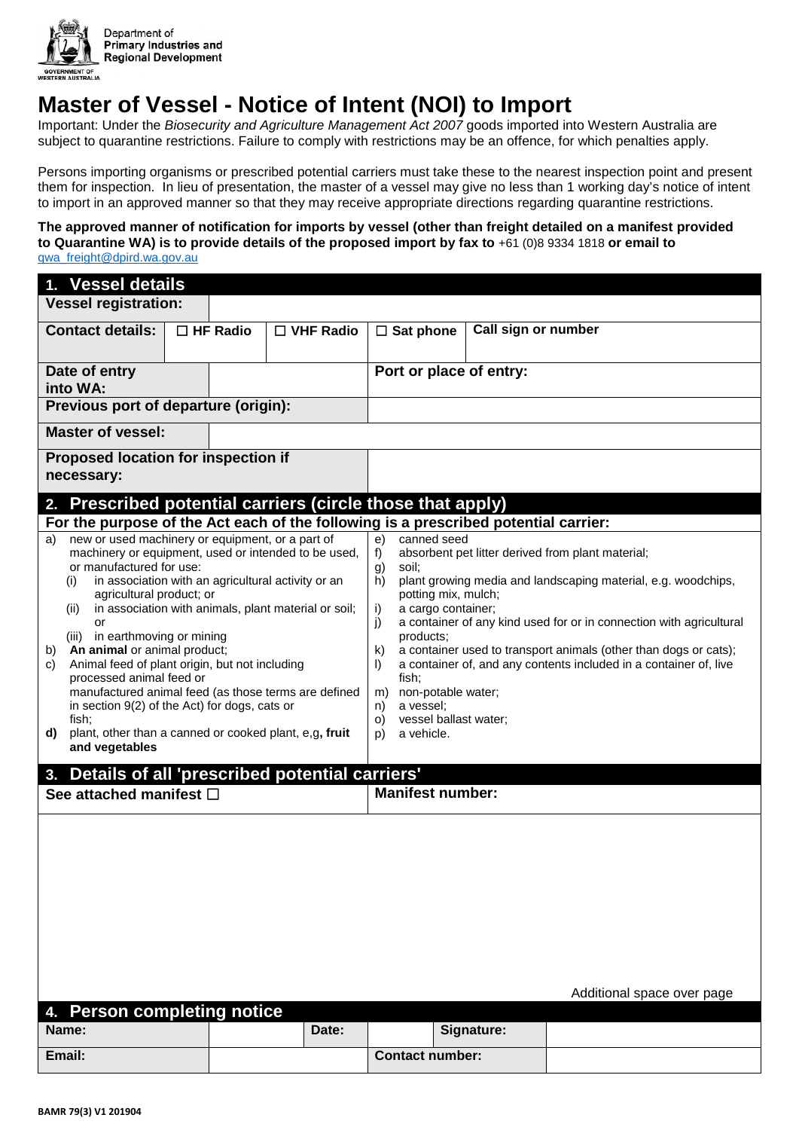

## **Master of Vessel - Notice of Intent (NOI) to Import**

Important: Under the *Biosecurity and Agriculture Management Act 2007* goods imported into Western Australia are subject to quarantine restrictions. Failure to comply with restrictions may be an offence, for which penalties apply.

Persons importing organisms or prescribed potential carriers must take these to the nearest inspection point and present them for inspection. In lieu of presentation, the master of a vessel may give no less than 1 working day's notice of intent to import in an approved manner so that they may receive appropriate directions regarding quarantine restrictions.

**The approved manner of notification for imports by vessel (other than freight detailed on a manifest provided to Quarantine WA) is to provide details of the proposed import by fax to** +61 (0)8 9334 1818 **or email to**  [qwa\\_freight@dpird.wa.gov.au](mailto:qwa_freight@dpird.wa.gov.au?subject=Notice%20of%20Intent%20to%20Import%20(NOI))

| 1. Vessel details                                                                                                                                                                                                                                                                                                                                                                                                                                                                                                                                                                                                                                                         |  |                 |                                                                                                                                                                                                                                                                                                                                                                                                                                                                                                                                                                                 |                        |                         |                            |  |  |
|---------------------------------------------------------------------------------------------------------------------------------------------------------------------------------------------------------------------------------------------------------------------------------------------------------------------------------------------------------------------------------------------------------------------------------------------------------------------------------------------------------------------------------------------------------------------------------------------------------------------------------------------------------------------------|--|-----------------|---------------------------------------------------------------------------------------------------------------------------------------------------------------------------------------------------------------------------------------------------------------------------------------------------------------------------------------------------------------------------------------------------------------------------------------------------------------------------------------------------------------------------------------------------------------------------------|------------------------|-------------------------|----------------------------|--|--|
| <b>Vessel registration:</b>                                                                                                                                                                                                                                                                                                                                                                                                                                                                                                                                                                                                                                               |  |                 |                                                                                                                                                                                                                                                                                                                                                                                                                                                                                                                                                                                 |                        |                         |                            |  |  |
| <b>Contact details:</b>                                                                                                                                                                                                                                                                                                                                                                                                                                                                                                                                                                                                                                                   |  | $\Box$ HF Radio | $\Box$ VHF Radio                                                                                                                                                                                                                                                                                                                                                                                                                                                                                                                                                                | $\Box$ Sat phone       | Call sign or number     |                            |  |  |
| Date of entry<br>into WA:                                                                                                                                                                                                                                                                                                                                                                                                                                                                                                                                                                                                                                                 |  |                 |                                                                                                                                                                                                                                                                                                                                                                                                                                                                                                                                                                                 |                        | Port or place of entry: |                            |  |  |
| Previous port of departure (origin):                                                                                                                                                                                                                                                                                                                                                                                                                                                                                                                                                                                                                                      |  |                 |                                                                                                                                                                                                                                                                                                                                                                                                                                                                                                                                                                                 |                        |                         |                            |  |  |
| <b>Master of vessel:</b>                                                                                                                                                                                                                                                                                                                                                                                                                                                                                                                                                                                                                                                  |  |                 |                                                                                                                                                                                                                                                                                                                                                                                                                                                                                                                                                                                 |                        |                         |                            |  |  |
| <b>Proposed location for inspection if</b><br>necessary:                                                                                                                                                                                                                                                                                                                                                                                                                                                                                                                                                                                                                  |  |                 |                                                                                                                                                                                                                                                                                                                                                                                                                                                                                                                                                                                 |                        |                         |                            |  |  |
| Prescribed potential carriers (circle those that apply)<br>2 <sub>1</sub>                                                                                                                                                                                                                                                                                                                                                                                                                                                                                                                                                                                                 |  |                 |                                                                                                                                                                                                                                                                                                                                                                                                                                                                                                                                                                                 |                        |                         |                            |  |  |
| For the purpose of the Act each of the following is a prescribed potential carrier:                                                                                                                                                                                                                                                                                                                                                                                                                                                                                                                                                                                       |  |                 |                                                                                                                                                                                                                                                                                                                                                                                                                                                                                                                                                                                 |                        |                         |                            |  |  |
| new or used machinery or equipment, or a part of<br>a)<br>machinery or equipment, used or intended to be used,<br>or manufactured for use:<br>in association with an agricultural activity or an<br>(i)<br>agricultural product; or<br>in association with animals, plant material or soil;<br>(ii)<br>or<br>(iii) in earthmoving or mining<br>An animal or animal product;<br>b)<br>Animal feed of plant origin, but not including<br>c)<br>processed animal feed or<br>manufactured animal feed (as those terms are defined<br>in section 9(2) of the Act) for dogs, cats or<br>fish:<br>plant, other than a canned or cooked plant, e,g, fruit<br>d)<br>and vegetables |  |                 | canned seed<br>e)<br>absorbent pet litter derived from plant material;<br>f)<br>g)<br>soil:<br>plant growing media and landscaping material, e.g. woodchips,<br>h)<br>potting mix, mulch;<br>a cargo container;<br>i)<br>a container of any kind used for or in connection with agricultural<br>j)<br>products;<br>a container used to transport animals (other than dogs or cats);<br>k)<br>a container of, and any contents included in a container of, live<br>D.<br>fish;<br>non-potable water;<br>m)<br>a vessel;<br>n)<br>vessel ballast water;<br>O)<br>a vehicle.<br>D) |                        |                         |                            |  |  |
| 3. Details of all 'prescribed potential carriers'                                                                                                                                                                                                                                                                                                                                                                                                                                                                                                                                                                                                                         |  |                 |                                                                                                                                                                                                                                                                                                                                                                                                                                                                                                                                                                                 |                        |                         |                            |  |  |
| <b>Manifest number:</b><br>See attached manifest □                                                                                                                                                                                                                                                                                                                                                                                                                                                                                                                                                                                                                        |  |                 |                                                                                                                                                                                                                                                                                                                                                                                                                                                                                                                                                                                 |                        |                         |                            |  |  |
| 4. Person completing notice                                                                                                                                                                                                                                                                                                                                                                                                                                                                                                                                                                                                                                               |  |                 |                                                                                                                                                                                                                                                                                                                                                                                                                                                                                                                                                                                 |                        |                         | Additional space over page |  |  |
| Name:                                                                                                                                                                                                                                                                                                                                                                                                                                                                                                                                                                                                                                                                     |  |                 | Date:                                                                                                                                                                                                                                                                                                                                                                                                                                                                                                                                                                           |                        | Signature:              |                            |  |  |
| Email:                                                                                                                                                                                                                                                                                                                                                                                                                                                                                                                                                                                                                                                                    |  |                 |                                                                                                                                                                                                                                                                                                                                                                                                                                                                                                                                                                                 | <b>Contact number:</b> |                         |                            |  |  |